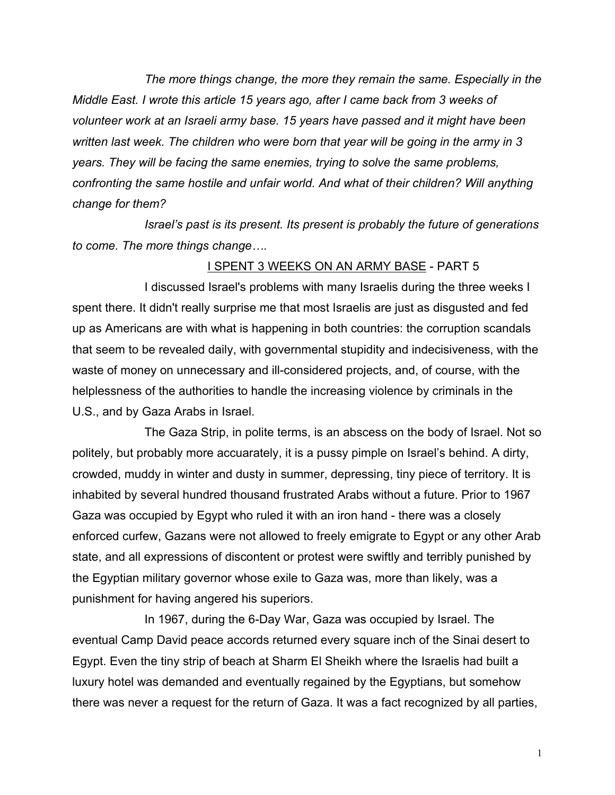*The more things change, the more they remain the same. Especially in the Middle East. I wrote this article 15 years ago, after I came back from 3 weeks of volunteer work at an Israeli army base. 15 years have passed and it might have been written last week. The children who were born that year will be going in the army in 3 years. They will be facing the same enemies, trying to solve the same problems, confronting the same hostile and unfair world. And what of their children? Will anything change for them?* 

*Israel's past is its present. Its present is probably the future of generations to come. The more things change….* 

## I SPENT 3 WEEKS ON AN ARMY BASE - PART 5

I discussed Israel's problems with many Israelis during the three weeks I spent there. It didn't really surprise me that most Israelis are just as disgusted and fed up as Americans are with what is happening in both countries: the corruption scandals that seem to be revealed daily, with governmental stupidity and indecisiveness, with the waste of money on unnecessary and ill-considered projects, and, of course, with the helplessness of the authorities to handle the increasing violence by criminals in the U.S., and by Gaza Arabs in Israel.

The Gaza Strip, in polite terms, is an abscess on the body of Israel. Not so politely, but probably more accuarately, it is a pussy pimple on Israel's behind. A dirty, crowded, muddy in winter and dusty in summer, depressing, tiny piece of territory. It is inhabited by several hundred thousand frustrated Arabs without a future. Prior to 1967 Gaza was occupied by Egypt who ruled it with an iron hand - there was a closely enforced curfew, Gazans were not allowed to freely emigrate to Egypt or any other Arab state, and all expressions of discontent or protest were swiftly and terribly punished by the Egyptian military governor whose exile to Gaza was, more than likely, was a punishment for having angered his superiors.

In 1967, during the 6-Day War, Gaza was occupied by Israel. The eventual Camp David peace accords returned every square inch of the Sinai desert to Egypt. Even the tiny strip of beach at Sharm El Sheikh where the Israelis had built a luxury hotel was demanded and eventually regained by the Egyptians, but somehow there was never a request for the return of Gaza. It was a fact recognized by all parties,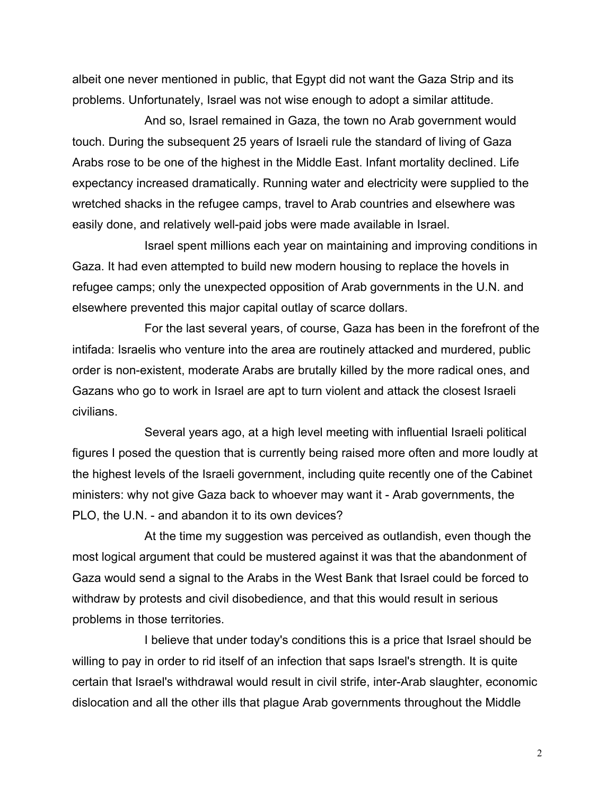albeit one never mentioned in public, that Egypt did not want the Gaza Strip and its problems. Unfortunately, Israel was not wise enough to adopt a similar attitude.

And so, Israel remained in Gaza, the town no Arab government would touch. During the subsequent 25 years of Israeli rule the standard of living of Gaza Arabs rose to be one of the highest in the Middle East. Infant mortality declined. Life expectancy increased dramatically. Running water and electricity were supplied to the wretched shacks in the refugee camps, travel to Arab countries and elsewhere was easily done, and relatively well-paid jobs were made available in Israel.

Israel spent millions each year on maintaining and improving conditions in Gaza. It had even attempted to build new modern housing to replace the hovels in refugee camps; only the unexpected opposition of Arab governments in the U.N. and elsewhere prevented this major capital outlay of scarce dollars.

For the last several years, of course, Gaza has been in the forefront of the intifada: Israelis who venture into the area are routinely attacked and murdered, public order is non-existent, moderate Arabs are brutally killed by the more radical ones, and Gazans who go to work in Israel are apt to turn violent and attack the closest Israeli civilians.

Several years ago, at a high level meeting with influential Israeli political figures I posed the question that is currently being raised more often and more loudly at the highest levels of the Israeli government, including quite recently one of the Cabinet ministers: why not give Gaza back to whoever may want it - Arab governments, the PLO, the U.N. - and abandon it to its own devices?

At the time my suggestion was perceived as outlandish, even though the most logical argument that could be mustered against it was that the abandonment of Gaza would send a signal to the Arabs in the West Bank that Israel could be forced to withdraw by protests and civil disobedience, and that this would result in serious problems in those territories.

I believe that under today's conditions this is a price that Israel should be willing to pay in order to rid itself of an infection that saps Israel's strength. It is quite certain that Israel's withdrawal would result in civil strife, inter-Arab slaughter, economic dislocation and all the other ills that plague Arab governments throughout the Middle